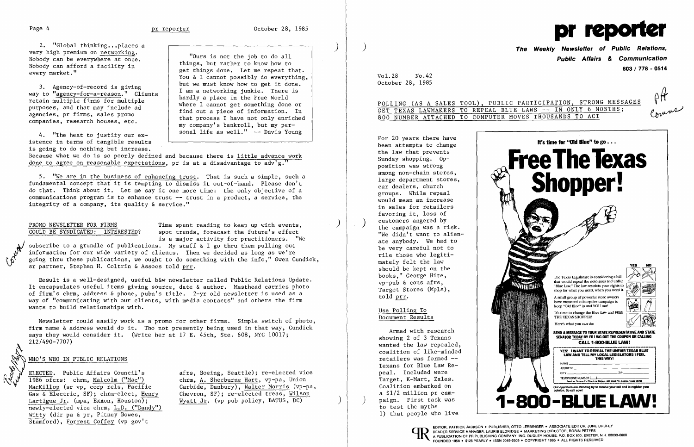**I** Alla

2. "Global thinking...places a very high premium on networking. Nobody can be everywhere at once. Nobody can afford a facility in every market."

3. Agency-of-record is giving way to "agency-for-a-reason." Clients retain multiple firms for multiple purposes, and that may include ad agencies, pr firms, sales promo companies, research houses, etc.

4. "The heat to justify our existence in terms of tangible results is going to do nothing but increase.

Because what we do is so poorly defined and because there is little advance work done to agree on reasonable expectations, pr is at a disadvantage to  $\frac{1}{4}$ ,  $\frac{1}{4}$ 

"Ours is not the job to do all things, but rather to know how to get things done. Let me repeat that. You & I cannot possibly do everything, but we must know how to get it done. I am a networking junkie. There is hardly a place in the Free World where I cannot get something done or find out a piece of information. In that process I have not only enriched my company's bankroll, but my personal life as well." -- Davis Young

PROMO NEWSLETTER FOR FIRMS<br>
COULD BE SYNDICATED: INTERESTED? spot trends. forecast the future's effect spot trends, forecast the future's effect is a major activity for practitioners. "He

subscribe to a grundle of publications. My staff  $\&$  I go thru them pulling out information for our wide variety of clients. Then we decided as long as we're going thru these publications, we ought to do something with the info," Gwen Cundick, sr partner, Stephen H. Coltrin & Assocs told prr.

5. "We are in the business of enhancing trust. That is such a simple, such a fundamental concept that it is tempting to dismiss it out-of-hand. Please don't do that. Think about it. Let me say it one more time: the only objective of a communications program is to enhance trust -- trust in a product, a service, the integrity of a company, its quality & service."

WHO'S WHO IN PUBLIC RELATIONS  $\overline{1986}$  ofcrs: chrm, Malcolm ("Mac") MacKi110p (sr vp, corp re1s, Pacific Gas & Electric, SF); chrm-e1ect, Henry Lartigue Jr. (mpa, Exxon, Houston); newly-elected vice chrm, L.D. ("Dandy") Witty (dir pa & pr, Pitney Bowes, Stamford), Forrest Coffey (vp gov't

afrs, Boeing, Seattle); re-e1ected vice chrm, A. Sherburne Hart, vp-pa, Union Carbide, Danbury), Walter Morris (vp-pa, Chevron, SF); re-e1ected treas, Wilson Wyatt Jr. (vp pub policy, BATUS, DC)

Result is a well-designed, useful b&w newsletter called Public Relations Update. It encapsulates useful items giving source, date & author. Masthead carries photo of firm's chrm, address & phone, pubn's title. 2-yr old newsletter is used as a way of "communicating with our clients, with media contacts" and others the firm wants to build relationships with.

Newsletter could easily work as a promo for other firms. Simple switch of photo, firm name  $\&$  address would do it. Tho not presently being used in that way, Cundick says they would consider it. (Write her at 17 E. 45th, Ste. 608, NYC 10017; 212/490-7707)

)

 $\left( \right)$ 

## WHO'S WHO IN PUBLIC RELATIONS



) The Weekly Newsletter of Public Relations, Public Affairs & Communication 603 / 778 - 0514

POLLING (AS A SALES TOOL), PUBLIC PARTICIPATION, STRONG MESSAGES<br>GET TEXAS LAWMAKERS TO REPEAL BLUE LAWS -- IN ONLY 6 MONTHS;

Vol. 28 No. 42 October 28, 1985

# 800 NUMBER ATTACHED TO COMPUTER MOVES THOUSANDS TO ACT

For 20 years there have been attempts to change the law that prevents Sunday shopping. Opposition was strong among non-chain stores, large department stores, car dealers, church groups. While repeal would mean an increase in sales for retailers favoring it, loss of the campaign was a risk. "We didn't want to alienate anybody. We had to be very careful not to rile those who legitimately felt the law should be kept on the books," George Hite, vp-pub & cons afrs, Target Stores (Mp1s), told prr.

Use Polling To Document Results

Armed with research showing 2 of 3 Texans wanted the law repealed, coalition of like-minded retailers was formed - Texans for Blue Law Repeal. Included were Target, K-Mart, Za1es. Coalition embarked on a \$1/2 million pr campaign. First task was<br>to test the myths 1) that people who live